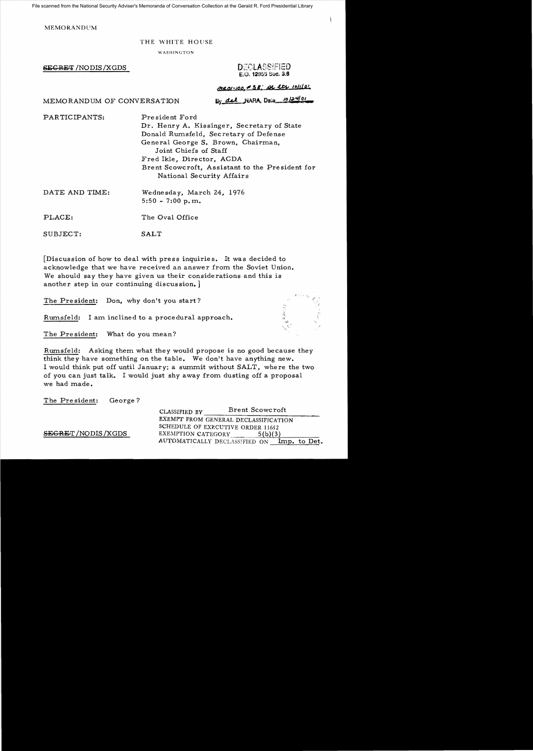File scanned from the National Security Adviser's Memoranda of Conversation Collection at the Gerald R. Ford Presidential Library

**MEMORANDUM** 

## THE WHITE HOUSE

WASHINGTON

SECRET /NODIS/XGDS

DECLASSIFIED E.O. 12853 Sec. 3.6

MR01-100 #38; AL LEN 10/1101

MEMORANDUM OF CONVERSATION

By del NARA, Dais 10124/01

PARTICIPANTS: President Ford Dr. Henry A. Kissinger, Secretary of State Donald Rumsfeld, Secretary of Defense General George S. Brown, Chairman, Joint Chiefs of Staff Fred Ikle, Director, ACDA Brent Scowcroft, Assistant to the Pre sident for National Security Affairs DATE AND TIME: Wednesday, March 24, 1976  $5:50 - 7:00 \text{ p.m.}$ PLACE: The Oval Office

SUBJECT: SALT

[Discussion of how to deal with press inquiries. It was decided to acknowledge that we have received an answer from the Soviet Union. We should say they have given us their considerations and this is another step in our continuing discussion.]

The President: Don, why don't you start?

Rumsfeld: I am inclined to a procedural approach.

The President: What do you mean?

Rumsfeld: Asking them what they would propose is no good because they think they have something on the table. We don't have anything new. I would think put off until January; a summit without SALT, where the two of you can just talk. I would just shy away from dusting off a proposal we had made.

The Pre sident: George?

CLASSIFIED BY Brent Scowcroft EXEMPT FROM GENERAL DECLASSIFICATION SCHEDULE OF EXECUTIVE ORDER 11652 SEGRET / NODIS / XGDS EXEMPTION CATEGORY 5(b)(3) AUTOMATICALLY DECLASS1FlED ON Imp. to Det.

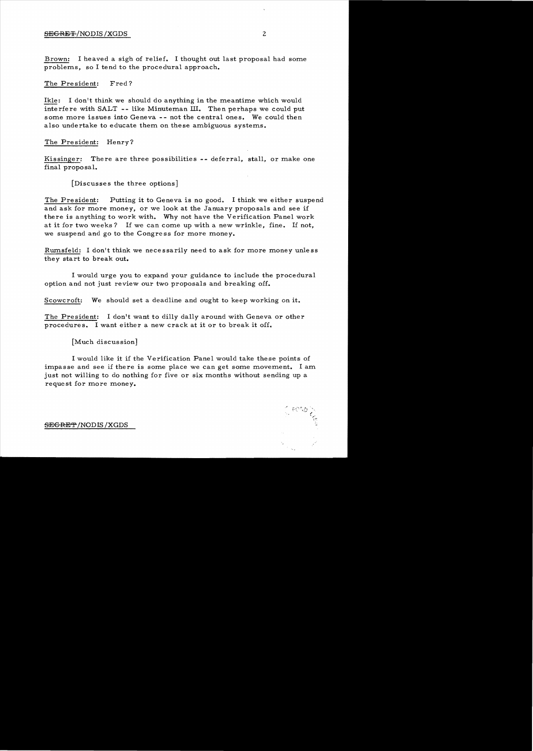### SEGRET-/NODIS /XGDS 2

Brown: I heaved a sigh of relief. I thought out last proposal had some problems, so I tend to the procedural approach.

### The President: Fred?

Ikle: I don't think we should do anything in the meantime which would interfere with SALT -- like Minuteman III. Then perhaps we could put some more issues into Geneva -- not the central ones. We could then also undertake to educate them on these ambiguous systems.

## The President: Henry?

Kissinger: There are three possibilities -- deferral, stall, or make one final propo sa1.

[Discusses the three options]

The President: Putting it to Geneva is no good. I think we either suspend and ask for more money, or we look at the January proposals and see if there is anything to work with. Why not have the Verification Panel work at it for two weeks? If we can come up with a new wrinkle, fine. If not, we suspend and go to the Congress for more money.

Rumsfeld: I don't think we necessarily need to ask for more money unless they start to break out.

I would urge you to expand your guidance to include the procedural option and not just review our two proposals and breaking off.

Scowcroft: We should set a deadline and ought to keep working on it.

The President: I don't want to dilly dally around with Geneva or other procedures. I want either a new crack at it or to break it off.

[Much discussion]

I would like it if the Verification Panel would take these points of impasse and see if there is some place we can get some movement. I am just not willing to do nothing for five or six months without sending up a request for more money.

SEGRET/NODIS /XGDS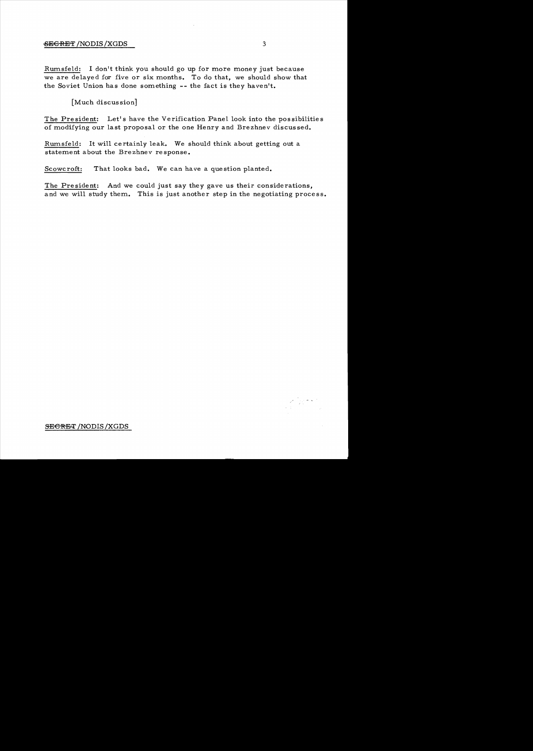# SECRET /NODIS /XGDS 3

Rurnsfeld: I don't think you should go up for more money just because we are delayed for five or six months. To do that, we should show that the Soviet Union has done something -- the fact is they haven't.

[Much discussion]

The President: Let's have the Verification Panel look into the possibilities of modifying our last proposal or the one Henry and Brezhnev discus sed.

Rurnsfeld: It will certainly leak. We should think about getting out a statement about the Brezhnev re sponse.

Scowcroft: That looks bad. We can have a question planted.

The President: And we could just say they gave us their considerations, and we will study them. This is just another step in the negotiating process.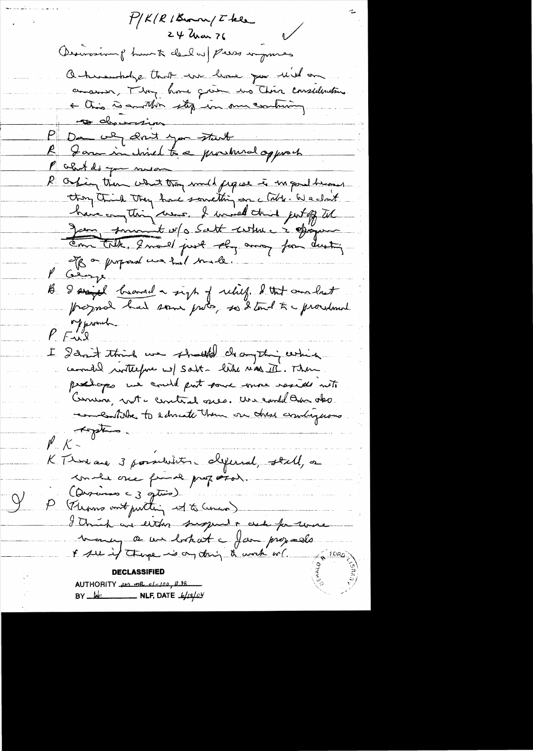$f/K/R/|K_{\rm warm}/%$  $24$  Uran ?6 Desiraing hunt deal a press imposes Ontwentiding that we have you will an conserve, They have given the Chica considerations + this is another stop in our contriming <del>s</del> dhaurin P Da we don't you start R Jam in chired to a prochural opport P court do you mison R Oskin then what they smild figure is un poultrioned they think they have something on clath. We clark have anything were, I would think just off til Jan finnant et a Satt certain à époque of on proposal we had built l George B. I signal brand a sigt of relief. I that conclust<br>programal had some proof so I tout to procedured of prometer  $Y = \sqrt{2}$ I don't think we should draything which commedia writterfue w) Salt- hike real II. Then. procharges we could put some more reside met Comen, not - central gres. We could this oko entitle to educate them on these combingerous toptes  ${\mathscr M}_{\cdot\cdot}$  K  $\sim$ KTImaa 3 possibilités chiperial, stall, or make one from proford. (Discuss c 3 getion) P (Thoms out putting it to Censo) I think we letter sugged a cele for work trancy a un bokat a fam proposa AUTHORITY per ma el-100, #38 BY  $\frac{1}{\sqrt{2}}$  NLF, DATE  $\frac{1}{2}$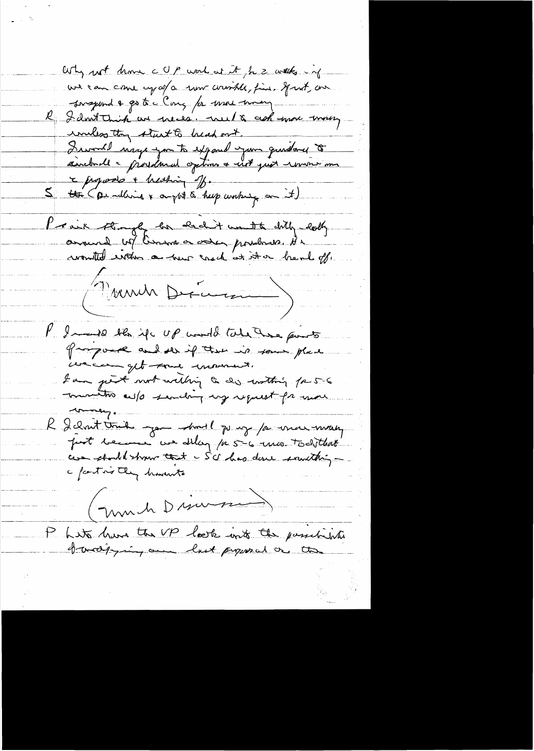Why not know c Up work at it for 2 with in we can come up of a new country, fine. If not, on Surgeond & go to c Cong for war way R I don't trick au precés. nul & ask more money uniless they start to bread out. Quant nige you to exposed your quidance to c jugado + heating of.  $\mathcal{Z}_+$ the (pendant & apple & help working on it) Provis Angly he held unto dity looky (Mondr Dram) P. In 10 the if up world tole have pourts groupouse and ser if there is some place we can get tous moment. I am just wort willing to do watting for 5-6 munitos culo sending ug request fr more money. R délait tout par model par y parmer mont post because we allay for 56 min todithat ces should show that - Sc has done something c factors they havents march Discussion Lite have the UP laste into the passibilities to and property on last proposed or the